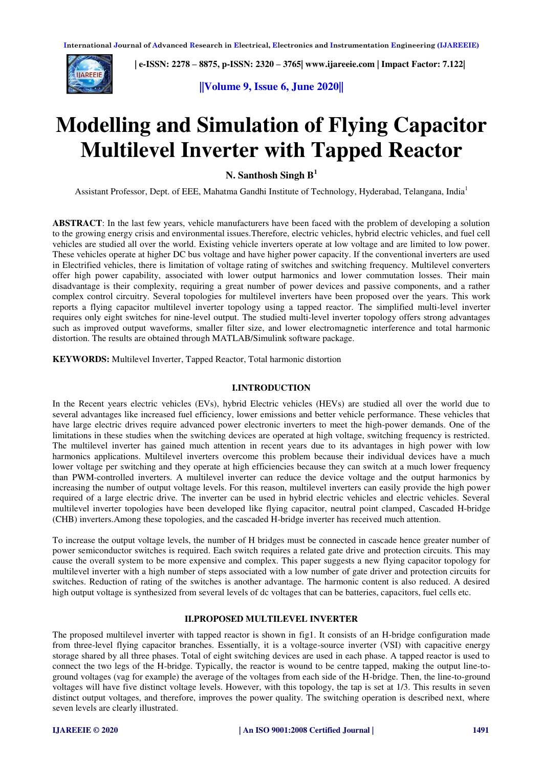

 **| e-ISSN: 2278 – 8875, p-ISSN: 2320 – 3765| [www.ijareeie.com](http://www.ijareeie.com/) | Impact Factor: 7.122|** 

**||Volume 9, Issue 6, June 2020||** 

# **Modelling and Simulation of Flying Capacitor Multilevel Inverter with Tapped Reactor**

**N. Santhosh Singh B<sup>1</sup>**

Assistant Professor, Dept. of EEE, Mahatma Gandhi Institute of Technology, Hyderabad, Telangana, India<sup>1</sup>

**ABSTRACT**: In the last few years, vehicle manufacturers have been faced with the problem of developing a solution to the growing energy crisis and environmental issues.Therefore, electric vehicles, hybrid electric vehicles, and fuel cell vehicles are studied all over the world. Existing vehicle inverters operate at low voltage and are limited to low power. These vehicles operate at higher DC bus voltage and have higher power capacity. If the conventional inverters are used in Electrified vehicles, there is limitation of voltage rating of switches and switching frequency. Multilevel converters offer high power capability, associated with lower output harmonics and lower commutation losses. Their main disadvantage is their complexity, requiring a great number of power devices and passive components, and a rather complex control circuitry. Several topologies for multilevel inverters have been proposed over the years. This work reports a flying capacitor multilevel inverter topology using a tapped reactor. The simplified multi-level inverter requires only eight switches for nine-level output. The studied multi-level inverter topology offers strong advantages such as improved output waveforms, smaller filter size, and lower electromagnetic interference and total harmonic distortion. The results are obtained through MATLAB/Simulink software package.

**KEYWORDS:** Multilevel Inverter, Tapped Reactor, Total harmonic distortion

## **I.INTRODUCTION**

In the Recent years electric vehicles (EVs), hybrid Electric vehicles (HEVs) are studied all over the world due to several advantages like increased fuel efficiency, lower emissions and better vehicle performance. These vehicles that have large electric drives require advanced power electronic inverters to meet the high-power demands. One of the limitations in these studies when the switching devices are operated at high voltage, switching frequency is restricted. The multilevel inverter has gained much attention in recent years due to its advantages in high power with low harmonics applications. Multilevel inverters overcome this problem because their individual devices have a much lower voltage per switching and they operate at high efficiencies because they can switch at a much lower frequency than PWM-controlled inverters. A multilevel inverter can reduce the device voltage and the output harmonics by increasing the number of output voltage levels. For this reason, multilevel inverters can easily provide the high power required of a large electric drive. The inverter can be used in hybrid electric vehicles and electric vehicles. Several multilevel inverter topologies have been developed like flying capacitor, neutral point clamped, Cascaded H-bridge (CHB) inverters.Among these topologies, and the cascaded H-bridge inverter has received much attention.

To increase the output voltage levels, the number of H bridges must be connected in cascade hence greater number of power semiconductor switches is required. Each switch requires a related gate drive and protection circuits. This may cause the overall system to be more expensive and complex. This paper suggests a new flying capacitor topology for multilevel inverter with a high number of steps associated with a low number of gate driver and protection circuits for switches. Reduction of rating of the switches is another advantage. The harmonic content is also reduced. A desired high output voltage is synthesized from several levels of dc voltages that can be batteries, capacitors, fuel cells etc.

#### **II.PROPOSED MULTILEVEL INVERTER**

The proposed multilevel inverter with tapped reactor is shown in fig1. It consists of an H-bridge configuration made from three-level flying capacitor branches. Essentially, it is a voltage-source inverter (VSI) with capacitive energy storage shared by all three phases. Total of eight switching devices are used in each phase. A tapped reactor is used to connect the two legs of the H-bridge. Typically, the reactor is wound to be centre tapped, making the output line-toground voltages (vag for example) the average of the voltages from each side of the H-bridge. Then, the line-to-ground voltages will have five distinct voltage levels. However, with this topology, the tap is set at 1/3. This results in seven distinct output voltages, and therefore, improves the power quality. The switching operation is described next, where seven levels are clearly illustrated.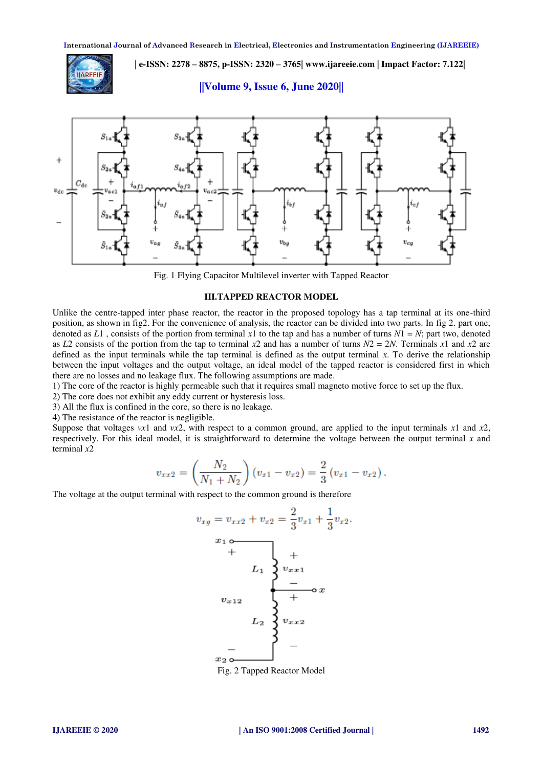**| e-ISSN: 2278 – 8875, p-ISSN: 2320 – 3765| [www.ijareeie.com](http://www.ijareeie.com/) | Impact Factor: 7.122|** 



**||Volume 9, Issue 6, June 2020||** 



Fig. 1 Flying Capacitor Multilevel inverter with Tapped Reactor

## **III.TAPPED REACTOR MODEL**

Unlike the centre-tapped inter phase reactor, the reactor in the proposed topology has a tap terminal at its one-third position, as shown in fig2. For the convenience of analysis, the reactor can be divided into two parts. In fig 2. part one, denoted as  $L1$ , consists of the portion from terminal x1 to the tap and has a number of turns  $N1 = N$ ; part two, denoted as *L*2 consists of the portion from the tap to terminal  $x^2$  and has a number of turns  $N2 = 2N$ . Terminals  $x^1$  and  $x^2$  are defined as the input terminals while the tap terminal is defined as the output terminal  $x$ . To derive the relationship between the input voltages and the output voltage, an ideal model of the tapped reactor is considered first in which there are no losses and no leakage flux. The following assumptions are made.

1) The core of the reactor is highly permeable such that it requires small magneto motive force to set up the flux.

- 2) The core does not exhibit any eddy current or hysteresis loss.
- 3) All the flux is confined in the core, so there is no leakage.

4) The resistance of the reactor is negligible.

Suppose that voltages *vx*1 and *vx*2, with respect to a common ground, are applied to the input terminals *x*1 and *x*2, respectively. For this ideal model, it is straightforward to determine the voltage between the output terminal *x* and terminal *x*2

$$
v_{xx2} = \left(\frac{N_2}{N_1 + N_2}\right) (v_{x1} - v_{x2}) = \frac{2}{3} (v_{x1} - v_{x2}).
$$

The voltage at the output terminal with respect to the common ground is therefore

$$
v_{xg} = v_{xx2} + v_{x2} = \frac{2}{3}v_{x1} + \frac{1}{3}v_{x2}.
$$
  
\n
$$
x_1 \circ
$$
  
\n
$$
L_1 \quad \begin{cases}\n+ \\
v_{xx1} \\
- \\
\hline\n&\n\end{cases}
$$
  
\n
$$
v_{x12}
$$
  
\n
$$
L_2 \quad \begin{cases}\n- \\
v_{xx2} \\
\hline\n\end{cases}
$$
  
\n
$$
L_3 \quad \begin{cases}\n- \\
v_{xx2} \\
\hline\n\end{cases}
$$

Fig. 2 Tapped Reactor Model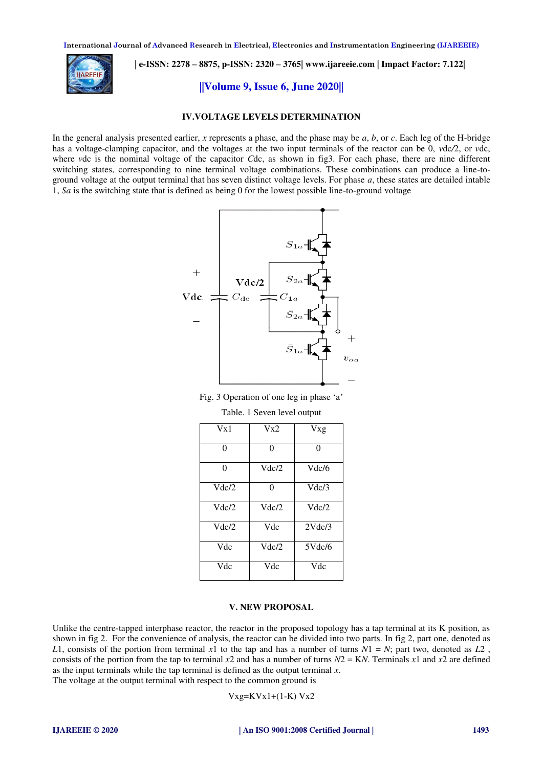

 **| e-ISSN: 2278 – 8875, p-ISSN: 2320 – 3765| [www.ijareeie.com](http://www.ijareeie.com/) | Impact Factor: 7.122|** 

# **||Volume 9, Issue 6, June 2020||**

### **IV.VOLTAGE LEVELS DETERMINATION**

In the general analysis presented earlier, *x* represents a phase, and the phase may be *a*, *b*, or *c*. Each leg of the H-bridge has a voltage-clamping capacitor, and the voltages at the two input terminals of the reactor can be 0, *v*dc*/*2, or *v*dc, where *v*dc is the nominal voltage of the capacitor *C*dc, as shown in fig3. For each phase, there are nine different switching states, corresponding to nine terminal voltage combinations. These combinations can produce a line-toground voltage at the output terminal that has seven distinct voltage levels. For phase *a*, these states are detailed intable 1, *Sa* is the switching state that is defined as being 0 for the lowest possible line-to-ground voltage



Fig. 3 Operation of one leg in phase 'a'

Table. 1 Seven level output

| Vx1   | Vx2      | Vxg      |
|-------|----------|----------|
| 0     | $\theta$ | $\Omega$ |
| 0     | Vdc/2    | Vdc/6    |
| Vdc/2 | 0        | Vdc/3    |
| Vdc/2 | Vdc/2    | Vdc/2    |
| Vdc/2 | Vdc      | 2Vdc/3   |
| Vdc   | Vdc/2    | 5Vdc/6   |
| Vdc   | Vdc      | Vdc      |

#### **V. NEW PROPOSAL**

Unlike the centre-tapped interphase reactor, the reactor in the proposed topology has a tap terminal at its K position, as shown in fig 2. For the convenience of analysis, the reactor can be divided into two parts. In fig 2, part one, denoted as *L*1, consists of the portion from terminal *x*1 to the tap and has a number of turns  $N1 = N$ ; part two, denoted as *L*2, consists of the portion from the tap to terminal  $x^2$  and has a number of turns  $N^2 = KN$ . Terminals  $x^1$  and  $x^2$  are defined as the input terminals while the tap terminal is defined as the output terminal *x*. The voltage at the output terminal with respect to the common ground is

$$
Vxg=KVx1+(1-K)Vx2
$$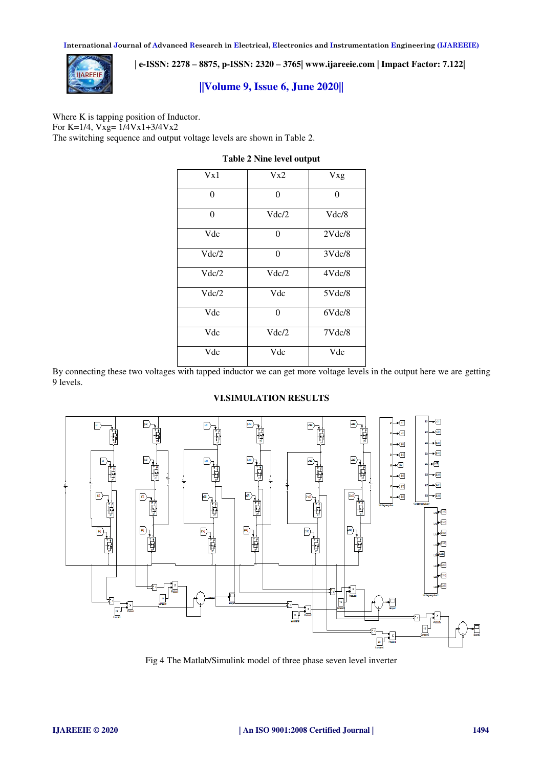

 **| e-ISSN: 2278 – 8875, p-ISSN: 2320 – 3765| [www.ijareeie.com](http://www.ijareeie.com/) | Impact Factor: 7.122|** 

# **||Volume 9, Issue 6, June 2020||**

Where K is tapping position of Inductor. For K=1/4, Vxg= 1/4Vx1+3/4Vx2 The switching sequence and output voltage levels are shown in Table 2.

| Vx1      | Vx2      | Vxg    |
|----------|----------|--------|
| $\Omega$ | $\theta$ | 0      |
| $\Omega$ | Vdc/2    | Vdc/8  |
| Vdc      | 0        | 2Vdc/8 |
| Vdc/2    | $\theta$ | 3Vdc/8 |
| Vdc/2    | Vdc/2    | 4Vdc/8 |
| Vdc/2    | Vdc      | 5Vdc/8 |
| Vdc      | $\theta$ | 6Vdc/8 |
| Vdc      | Vdc/2    | 7Vdc/8 |
| Vdc      | Vdc      | Vdc    |

# **Table 2 Nine level output**

By connecting these two voltages with tapped inductor we can get more voltage levels in the output here we are getting 9 levels.

## **VI.SIMULATION RESULTS**



Fig 4 The Matlab/Simulink model of three phase seven level inverter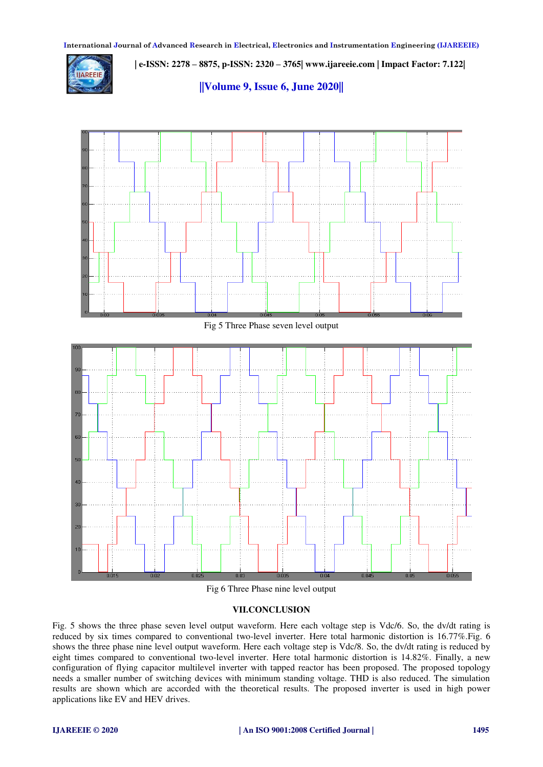**IIAREEIE** 

 **| e-ISSN: 2278 – 8875, p-ISSN: 2320 – 3765| [www.ijareeie.com](http://www.ijareeie.com/) | Impact Factor: 7.122|** 

**||Volume 9, Issue 6, June 2020||** 





# **VII.CONCLUSION**

Fig. 5 shows the three phase seven level output waveform. Here each voltage step is Vdc/6. So, the dv/dt rating is reduced by six times compared to conventional two-level inverter. Here total harmonic distortion is 16.77%.Fig. 6 shows the three phase nine level output waveform. Here each voltage step is Vdc/8. So, the dv/dt rating is reduced by eight times compared to conventional two-level inverter. Here total harmonic distortion is 14.82%. Finally, a new configuration of flying capacitor multilevel inverter with tapped reactor has been proposed. The proposed topology needs a smaller number of switching devices with minimum standing voltage. THD is also reduced. The simulation results are shown which are accorded with the theoretical results. The proposed inverter is used in high power applications like EV and HEV drives.